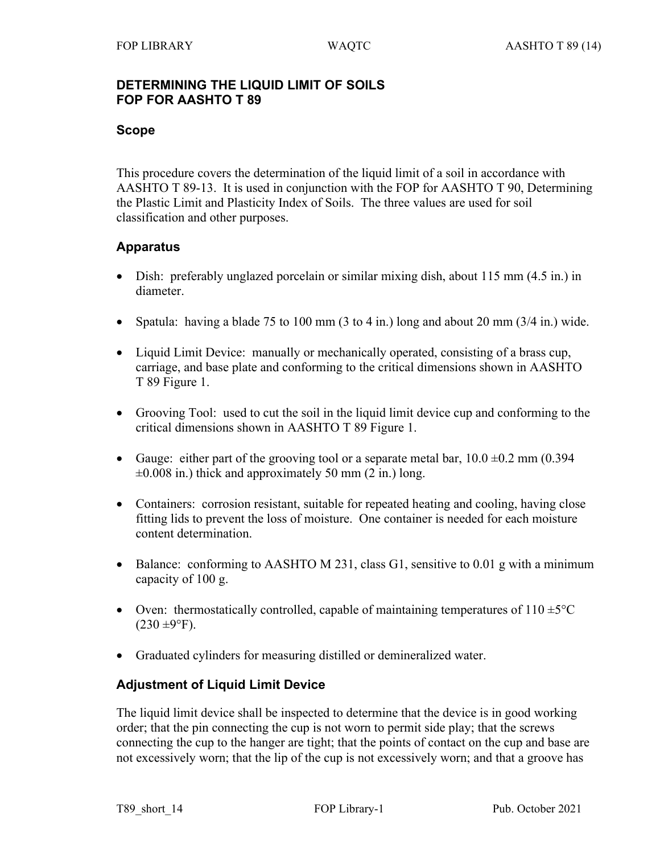### **DETERMINING THE LIQUID LIMIT OF SOILS FOP FOR AASHTO T 89**

#### **Scope**

This procedure covers the determination of the liquid limit of a soil in accordance with AASHTO T 89-13. It is used in conjunction with the FOP for AASHTO T 90, Determining the Plastic Limit and Plasticity Index of Soils. The three values are used for soil classification and other purposes.

#### **Apparatus**

- Dish: preferably unglazed porcelain or similar mixing dish, about 115 mm (4.5 in.) in diameter.
- Spatula: having a blade 75 to 100 mm  $(3 \text{ to } 4 \text{ in.})$  long and about 20 mm  $(3/4 \text{ in.})$  wide.
- Liquid Limit Device: manually or mechanically operated, consisting of a brass cup, carriage, and base plate and conforming to the critical dimensions shown in AASHTO T 89 Figure 1.
- Grooving Tool: used to cut the soil in the liquid limit device cup and conforming to the critical dimensions shown in AASHTO T 89 Figure 1.
- Gauge: either part of the grooving tool or a separate metal bar,  $10.0 \pm 0.2$  mm (0.394)  $\pm 0.008$  in.) thick and approximately 50 mm (2 in.) long.
- Containers: corrosion resistant, suitable for repeated heating and cooling, having close fitting lids to prevent the loss of moisture. One container is needed for each moisture content determination.
- Balance: conforming to AASHTO M 231, class G1, sensitive to 0.01 g with a minimum capacity of 100 g.
- Oven: thermostatically controlled, capable of maintaining temperatures of  $110 \pm 5^{\circ}$ C  $(230 \pm 9$ °F).
- Graduated cylinders for measuring distilled or demineralized water.

### **Adjustment of Liquid Limit Device**

The liquid limit device shall be inspected to determine that the device is in good working order; that the pin connecting the cup is not worn to permit side play; that the screws connecting the cup to the hanger are tight; that the points of contact on the cup and base are not excessively worn; that the lip of the cup is not excessively worn; and that a groove has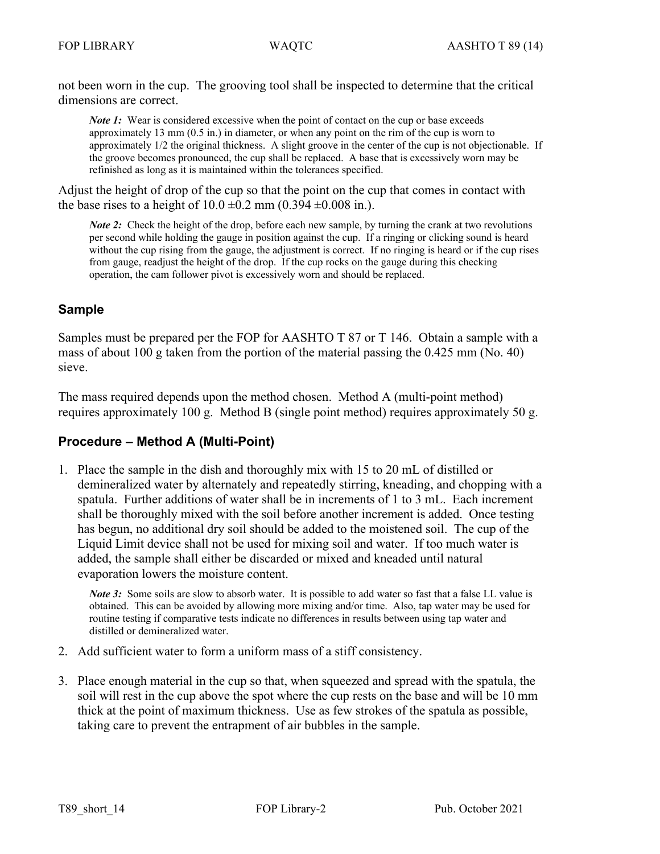not been worn in the cup. The grooving tool shall be inspected to determine that the critical dimensions are correct.

*Note 1*: Wear is considered excessive when the point of contact on the cup or base exceeds approximately 13 mm (0.5 in.) in diameter, or when any point on the rim of the cup is worn to approximately 1/2 the original thickness. A slight groove in the center of the cup is not objectionable. If the groove becomes pronounced, the cup shall be replaced. A base that is excessively worn may be refinished as long as it is maintained within the tolerances specified.

Adjust the height of drop of the cup so that the point on the cup that comes in contact with the base rises to a height of  $10.0 \pm 0.2$  mm  $(0.394 \pm 0.008$  in.).

*Note 2*: Check the height of the drop, before each new sample, by turning the crank at two revolutions per second while holding the gauge in position against the cup. If a ringing or clicking sound is heard without the cup rising from the gauge, the adjustment is correct. If no ringing is heard or if the cup rises from gauge, readjust the height of the drop. If the cup rocks on the gauge during this checking operation, the cam follower pivot is excessively worn and should be replaced.

#### **Sample**

Samples must be prepared per the FOP for AASHTO T 87 or T 146. Obtain a sample with a mass of about 100 g taken from the portion of the material passing the 0.425 mm (No. 40) sieve.

The mass required depends upon the method chosen. Method A (multi-point method) requires approximately 100 g. Method B (single point method) requires approximately 50 g.

#### **Procedure – Method A (Multi-Point)**

1. Place the sample in the dish and thoroughly mix with 15 to 20 mL of distilled or demineralized water by alternately and repeatedly stirring, kneading, and chopping with a spatula. Further additions of water shall be in increments of 1 to 3 mL. Each increment shall be thoroughly mixed with the soil before another increment is added. Once testing has begun, no additional dry soil should be added to the moistened soil. The cup of the Liquid Limit device shall not be used for mixing soil and water. If too much water is added, the sample shall either be discarded or mixed and kneaded until natural evaporation lowers the moisture content.

*Note 3*: Some soils are slow to absorb water. It is possible to add water so fast that a false LL value is obtained. This can be avoided by allowing more mixing and/or time. Also, tap water may be used for routine testing if comparative tests indicate no differences in results between using tap water and distilled or demineralized water.

- 2. Add sufficient water to form a uniform mass of a stiff consistency.
- 3. Place enough material in the cup so that, when squeezed and spread with the spatula, the soil will rest in the cup above the spot where the cup rests on the base and will be 10 mm thick at the point of maximum thickness. Use as few strokes of the spatula as possible, taking care to prevent the entrapment of air bubbles in the sample.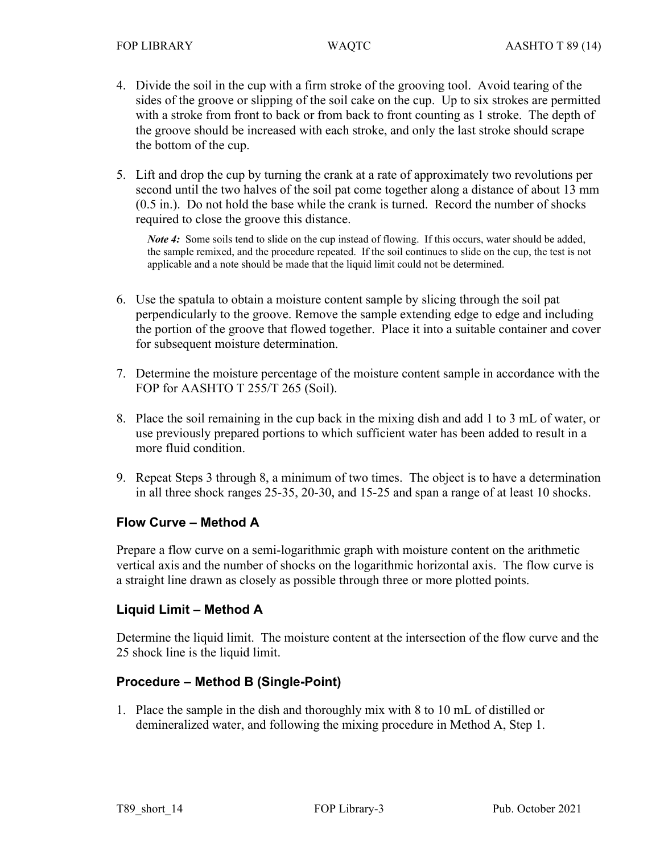- 4. Divide the soil in the cup with a firm stroke of the grooving tool. Avoid tearing of the sides of the groove or slipping of the soil cake on the cup. Up to six strokes are permitted with a stroke from front to back or from back to front counting as 1 stroke. The depth of the groove should be increased with each stroke, and only the last stroke should scrape the bottom of the cup.
- 5. Lift and drop the cup by turning the crank at a rate of approximately two revolutions per second until the two halves of the soil pat come together along a distance of about 13 mm (0.5 in.). Do not hold the base while the crank is turned. Record the number of shocks required to close the groove this distance.

*Note 4*: Some soils tend to slide on the cup instead of flowing. If this occurs, water should be added, the sample remixed, and the procedure repeated. If the soil continues to slide on the cup, the test is not applicable and a note should be made that the liquid limit could not be determined.

- 6. Use the spatula to obtain a moisture content sample by slicing through the soil pat perpendicularly to the groove. Remove the sample extending edge to edge and including the portion of the groove that flowed together. Place it into a suitable container and cover for subsequent moisture determination.
- 7. Determine the moisture percentage of the moisture content sample in accordance with the FOP for AASHTO T 255/T 265 (Soil).
- 8. Place the soil remaining in the cup back in the mixing dish and add 1 to 3 mL of water, or use previously prepared portions to which sufficient water has been added to result in a more fluid condition.
- 9. Repeat Steps 3 through 8, a minimum of two times. The object is to have a determination in all three shock ranges 25-35, 20-30, and 15-25 and span a range of at least 10 shocks.

# **Flow Curve – Method A**

Prepare a flow curve on a semi-logarithmic graph with moisture content on the arithmetic vertical axis and the number of shocks on the logarithmic horizontal axis. The flow curve is a straight line drawn as closely as possible through three or more plotted points.

# **Liquid Limit – Method A**

Determine the liquid limit. The moisture content at the intersection of the flow curve and the 25 shock line is the liquid limit.

# **Procedure – Method B (Single-Point)**

1. Place the sample in the dish and thoroughly mix with 8 to 10 mL of distilled or demineralized water, and following the mixing procedure in Method A, Step 1.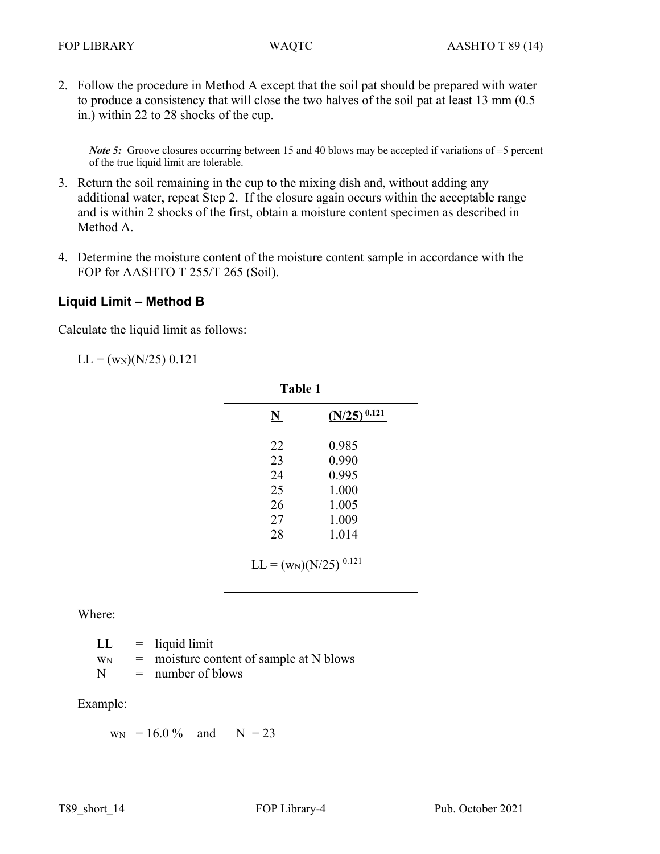2. Follow the procedure in Method A except that the soil pat should be prepared with water to produce a consistency that will close the two halves of the soil pat at least 13 mm (0.5 in.) within 22 to 28 shocks of the cup.

*Note* 5: Groove closures occurring between 15 and 40 blows may be accepted if variations of  $\pm$ 5 percent of the true liquid limit are tolerable.

- 3. Return the soil remaining in the cup to the mixing dish and, without adding any additional water, repeat Step 2. If the closure again occurs within the acceptable range and is within 2 shocks of the first, obtain a moisture content specimen as described in Method A.
- 4. Determine the moisture content of the moisture content sample in accordance with the FOP for AASHTO T 255/T 265 (Soil).

### **Liquid Limit – Method B**

Calculate the liquid limit as follows:

 $LL = (w_N)(N/25)$  0.121

| N  | $(N/25)^{0.121}$ |
|----|------------------|
| 22 | 0.985            |
| 23 | 0.990            |
| 24 | 0.995            |
| 25 | 1.000            |
| 26 | 1.005            |
| 27 | 1.009            |
| 28 | 1.014            |

**Table 1**

Where:

| LL.       | $=$ liquid limit                          |
|-----------|-------------------------------------------|
| <b>WN</b> | $=$ moisture content of sample at N blows |
| N         | $=$ number of blows                       |

Example:

 $w_N = 16.0 \%$  and  $N = 23$